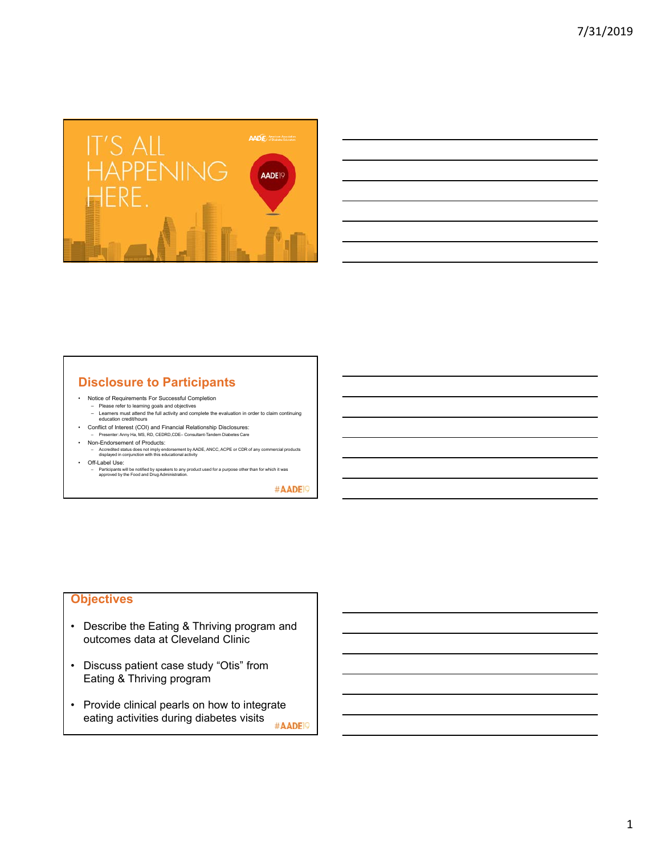

| <u> Alexandro de la contrada de la contrada de la contrada de la contrada de la contrada de la contrada de la co</u>                                                 |  |                          |
|----------------------------------------------------------------------------------------------------------------------------------------------------------------------|--|--------------------------|
|                                                                                                                                                                      |  | <b>Contract Contract</b> |
| <u> 1999 - Johann Harry Harry Harry Harry Harry Harry Harry Harry Harry Harry Harry Harry Harry Harry Harry Harry</u>                                                |  |                          |
| <u> Andreas Andreas Andreas Andreas Andreas Andreas Andreas Andreas Andreas Andreas Andreas Andreas Andreas Andr</u>                                                 |  |                          |
| ,我们也不会有一个人的事情。""我们的人们,我们也不会有一个人的人,我们也不会有一个人的人,我们也不会有一个人的人,我们也不会有一个人的人,我们也不会有一个人的<br>第一百一十一章 我们的人,我们的人们的人们,我们的人们的人们的人们,我们的人们的人们的人们,我们的人们的人们,我们的人们的人们,我们的人们的人们,我们的人们的人 |  | ________                 |
|                                                                                                                                                                      |  |                          |

# **Disclosure to Participants**

- Notice of Requirements For Successful Completion
	- Please refer to learning goals and objectives Learners must attend the full activity and complete the evaluation in order to claim continuing education credit/hours
- Conflict of Interest (COI) and Financial Relationship Disclosures:
- Presenter: Anny Ha, MS, RD, CEDRD,CDE– Consultant-Tandem Diabetes Care
- Non-Endorsement of Products:
- Accredited status does not imply endorsement by AADE, ANCC, ACPE or CDR of any commercial products displayed in conjunction with this educational activity • Off-Label Use:
- Participants will be notified by speakers to any product used for a purpose other than for which it was approved by the Food and Drug Administration.

#AADE<sup>19</sup>

### **Objectives**

- Describe the Eating & Thriving program and outcomes data at Cleveland Clinic
- Discuss patient case study "Otis" from Eating & Thriving program
- Provide clinical pearls on how to integrate eating activities during diabetes visits #AADE<sup>19</sup>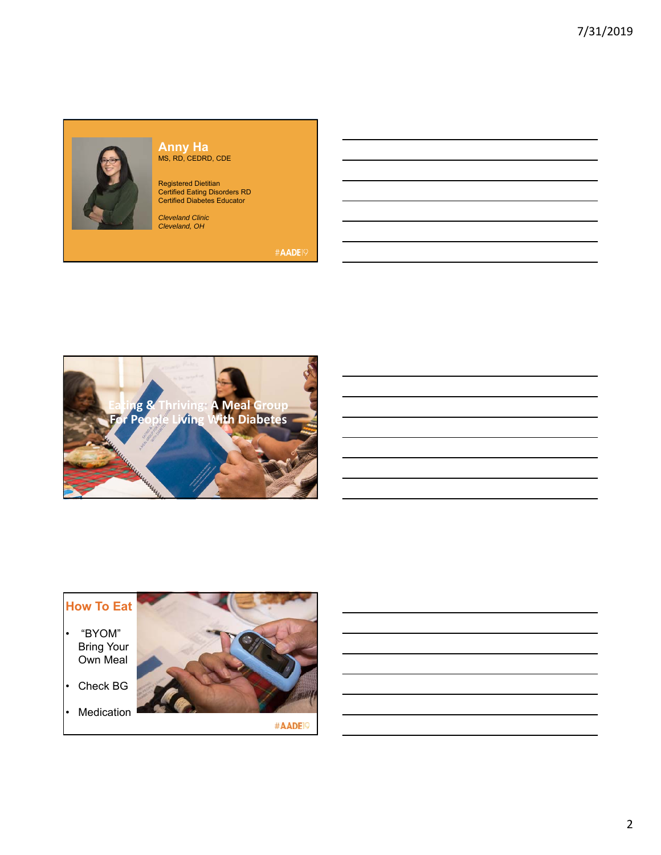

#### **Anny Ha** MS, RD, CEDRD, CDE

Registered Dietitian Certified Eating Disorders RD Certified Diabetes Educator

*Cleveland Clinic Cleveland, OH*



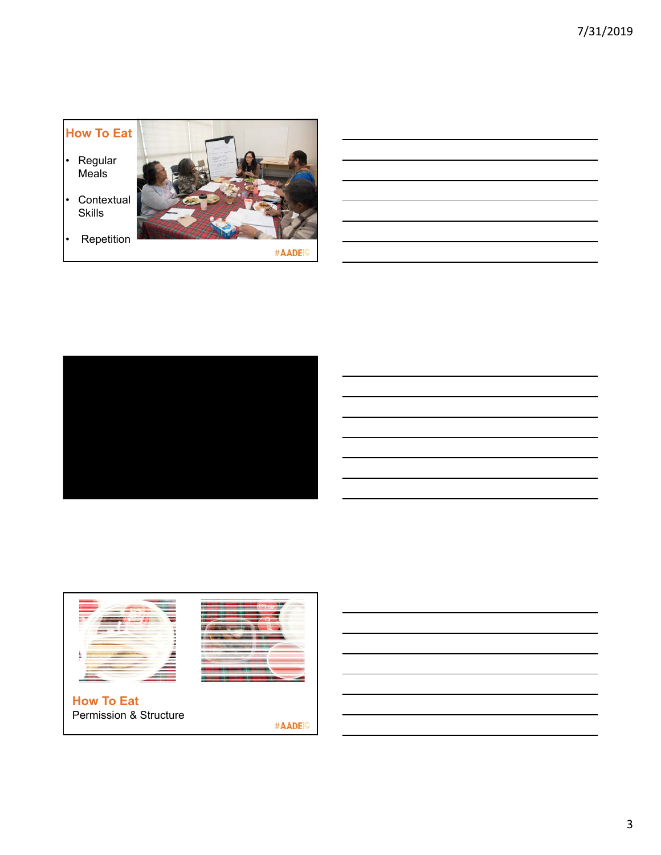





Permission & Structure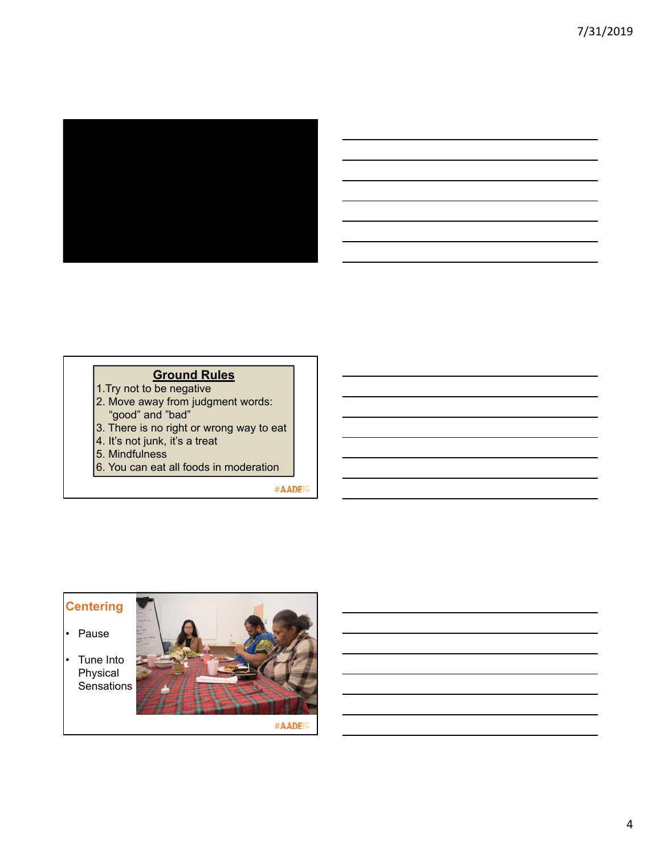

| ,我们也不会有什么。""我们的人,我们也不会有什么?""我们的人,我们也不会有什么?""我们的人,我们也不会有什么?""我们的人,我们也不会有什么?""我们的人                                     |  |                               |
|----------------------------------------------------------------------------------------------------------------------|--|-------------------------------|
| <u> 1989 - Andrea Santa Andrea Andrea Andrea Andrea Andrea Andrea Andrea Andrea Andrea Andrea Andrea Andrea Andr</u> |  |                               |
| → South Contract Contract Contract Contract Contract Contract Contract Contract Contract Contract Contract Con       |  | the control of the control of |
| ,我们的人们也不会有一个人的人,我们也不会有一个人的人,我们也不会有一个人的人,我们也不会有一个人的人,我们也不会有一个人的人,我们也不会有一个人的人,我们也不                                     |  |                               |
|                                                                                                                      |  |                               |

### **Ground Rules**

- 1.Try not to be negative
- 2. Move away from judgment words: "good" and "bad"
- 3. There is no right or wrong way to eat
- 4. It's not junk, it's a treat
- 5. Mindfulness
- 6. You can eat all foods in moderation

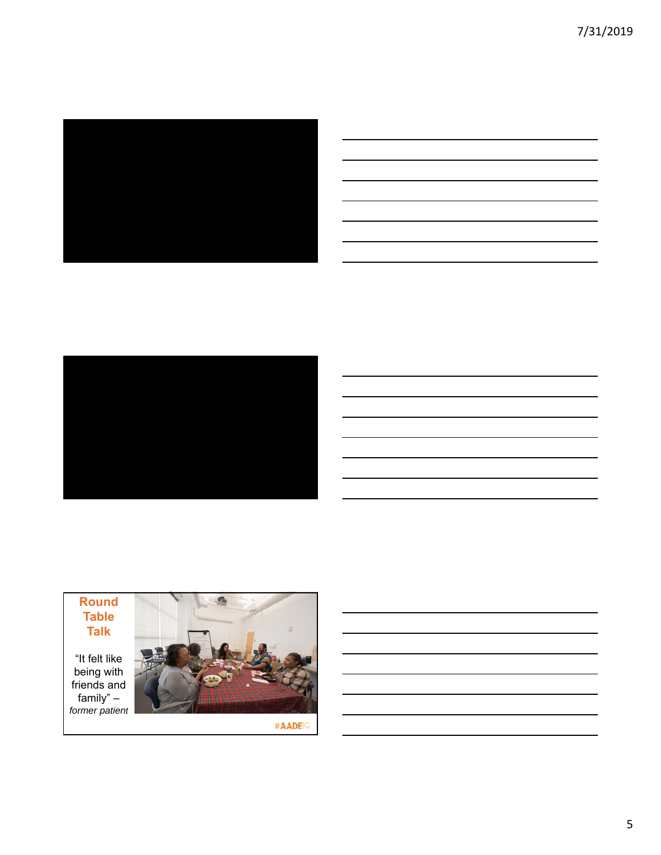7/31/2019







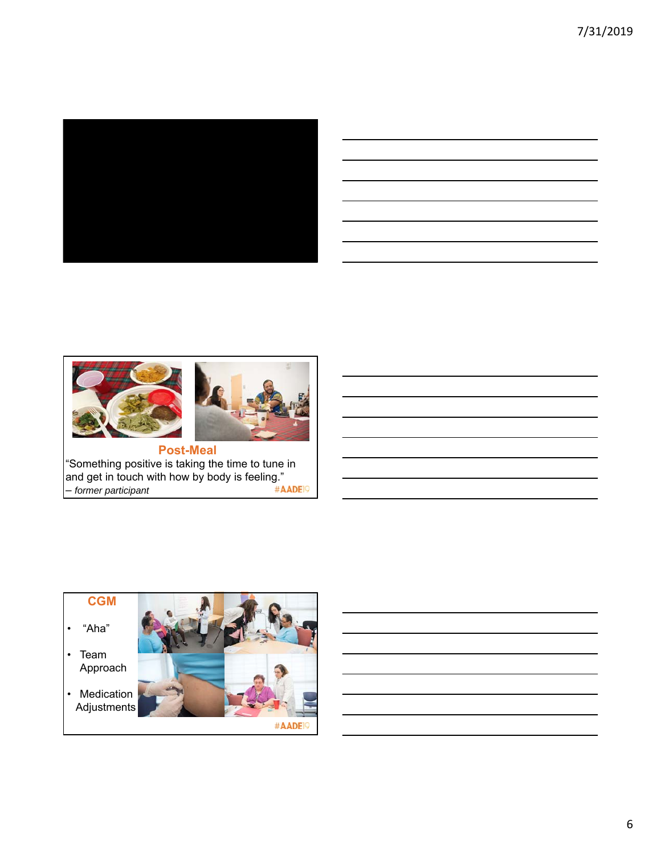

| <u> 1989 - Johann John Stone, markin sanadi amerikan bahasa dan berasal dan berasal dalam berasal dalam berasal d</u>                                                                                                                |  |       |
|--------------------------------------------------------------------------------------------------------------------------------------------------------------------------------------------------------------------------------------|--|-------|
|                                                                                                                                                                                                                                      |  |       |
| <u> 1989 - Johann Harry Harry Harry Harry Harry Harry Harry Harry Harry Harry Harry Harry Harry Harry Harry Harry</u>                                                                                                                |  |       |
|                                                                                                                                                                                                                                      |  |       |
| <u> 1989 - Johann Stoff, amerikansk politiker (d. 1989)</u>                                                                                                                                                                          |  |       |
| <u>and the company of the company of the company of the company of the company of the company of the company of the company of the company of the company of the company of the company of the company of the company of the com</u> |  | _____ |
| <u> 1989 - Johann Stoff, deutscher Stoff, der Stoff, der Stoff, der Stoff, der Stoff, der Stoff, der Stoff, der S</u>                                                                                                                |  |       |
|                                                                                                                                                                                                                                      |  |       |



"Something positive is taking the time to tune in and get in touch with how by body is feeling." – *former participant*

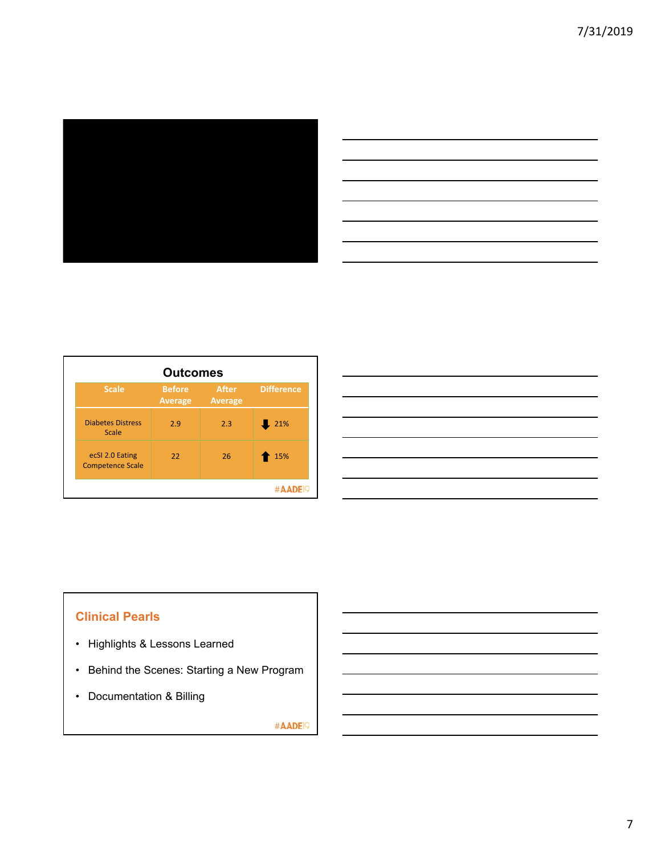

| <u> Alexandria de la contrada de la contrada de la contrada de la contrada de la contrada de la contrada de la c</u>                                                                                                                 |  |  |                                   |
|--------------------------------------------------------------------------------------------------------------------------------------------------------------------------------------------------------------------------------------|--|--|-----------------------------------|
| <u> 1999 - Jan Barbara de Santo de Santo de Santo de Santo de Santo de Santo de Santo de Santo de Santo de Santo</u>                                                                                                                 |  |  |                                   |
| $\overline{\phantom{a}}$                                                                                                                                                                                                             |  |  | the control of the control of the |
| <u> Alexandro de la contrada de la contrada de la contrada de la contrada de la contrada de la contrada de la co</u>                                                                                                                 |  |  |                                   |
| <u> Andreas Andreas Andreas Andreas Andreas Andreas Andreas Andreas Andreas Andreas Andreas Andreas Andreas Andreas Andreas Andreas Andreas Andreas Andreas Andreas Andreas Andreas Andreas Andreas Andreas Andreas Andreas Andr</u> |  |  |                                   |
| <u>. Kanada ah samu da kanada ah samu da kanada ah samu da kanada ah samu da kanada ah samu da kanada ah samu da</u>                                                                                                                 |  |  |                                   |
|                                                                                                                                                                                                                                      |  |  |                                   |
|                                                                                                                                                                                                                                      |  |  |                                   |

| <b>Outcomes</b>                            |                                 |                                |                   |
|--------------------------------------------|---------------------------------|--------------------------------|-------------------|
| <b>Scale</b>                               | <b>Before</b><br><b>Average</b> | <b>After</b><br><b>Average</b> | <b>Difference</b> |
| <b>Diabetes Distress</b><br>Scale          | 2.9                             | 2.3                            | 21%               |
| ecSI 2.0 Eating<br><b>Competence Scale</b> | 22                              | 26                             | 15%               |
|                                            |                                 |                                |                   |

| and the contract of the contract of the contract of the contract of the contract of the contract of the contract of  |  |
|----------------------------------------------------------------------------------------------------------------------|--|
| and the contract of the contract of the contract of the contract of the contract of the contract of the contract of  |  |
| and the contract of the contract of the contract of the contract of the contract of the contract of the contract of  |  |
| <u> Andreas Andreas Andreas Andreas Andreas Andreas Andreas Andreas Andreas Andreas Andreas Andreas Andreas Andr</u> |  |
| and the contract of the contract of the contract of the contract of the contract of the contract of the contract of  |  |
|                                                                                                                      |  |

## **Clinical Pearls**

- Highlights & Lessons Learned
- Behind the Scenes: Starting a New Program
- Documentation & Billing